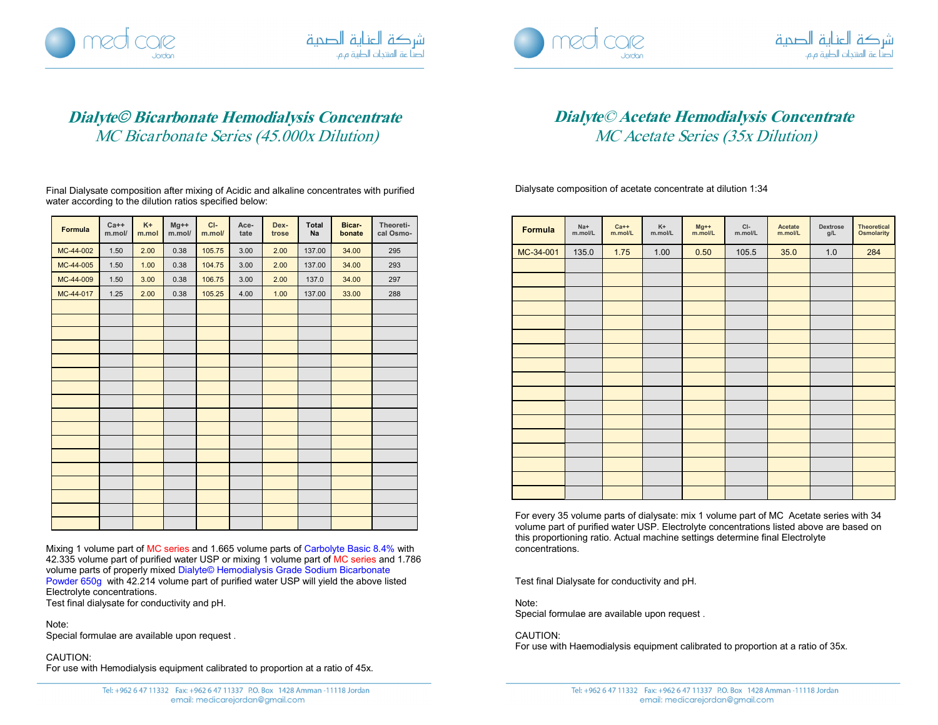





## **Dialyte**© **Bicarbonate Hemodialysis Concentrate** MC Bicarbonate Series (45.000x Dilution)

Final Dialysate composition after mixing of Acidic and alkaline concentrates with purified water according to the dilution ratios specified below:

| Formula   | $Ca++$<br>m.mol/ | $K +$<br>m.mol | $Mg++$<br>m.mol/ | $C$ -<br>m.mol/ | Ace-<br>tate | Dex-<br>trose | <b>Total</b><br>Na | <b>Bicar</b><br>bonate | Theoreti-<br>cal Osmo- |
|-----------|------------------|----------------|------------------|-----------------|--------------|---------------|--------------------|------------------------|------------------------|
| MC-44-002 | 1.50             | 2.00           | 0.38             | 105.75          | 3.00         | 2.00          | 137.00             | 34.00                  | 295                    |
| MC-44-005 | 1.50             | 1.00           | 0.38             | 104.75          | 3.00         | 2.00          | 137.00             | 34.00                  | 293                    |
| MC-44-009 | 1.50             | 3.00           | 0.38             | 106.75          | 3.00         | 2.00          | 137.0              | 34.00                  | 297                    |
| MC-44-017 | 1.25             | 2.00           | 0.38             | 105.25          | 4.00         | 1.00          | 137.00             | 33.00                  | 288                    |
|           |                  |                |                  |                 |              |               |                    |                        |                        |
|           |                  |                |                  |                 |              |               |                    |                        |                        |
|           |                  |                |                  |                 |              |               |                    |                        |                        |
|           |                  |                |                  |                 |              |               |                    |                        |                        |
|           |                  |                |                  |                 |              |               |                    |                        |                        |
|           |                  |                |                  |                 |              |               |                    |                        |                        |
|           |                  |                |                  |                 |              |               |                    |                        |                        |
|           |                  |                |                  |                 |              |               |                    |                        |                        |
|           |                  |                |                  |                 |              |               |                    |                        |                        |
|           |                  |                |                  |                 |              |               |                    |                        |                        |
|           |                  |                |                  |                 |              |               |                    |                        |                        |
|           |                  |                |                  |                 |              |               |                    |                        |                        |
|           |                  |                |                  |                 |              |               |                    |                        |                        |
|           |                  |                |                  |                 |              |               |                    |                        |                        |
|           |                  |                |                  |                 |              |               |                    |                        |                        |
|           |                  |                |                  |                 |              |               |                    |                        |                        |

Mixing 1 volume part of MC series and 1.665 volume parts of Carbolyte Basic 8.4% with 42.335 volume part of purified water USP or mixing 1 volume part of MC series and 1.786 volume parts of properly mixed Dialyte© Hemodialysis Grade Sodium Bicarbonate Powder 650g with 42.214 volume part of purified water USP will yield the above listed Electrolyte concentrations. Test final dialysate for conductivity and pH.

Note:

Special formulae are available upon request .

CAUTION:

For use with Hemodialysis equipment calibrated to proportion at a ratio of 45x.

## **Dialyte**© **Acetate Hemodialysis Concentrate** MC Acetate Series (35x Dilution)

Dialysate composition of acetate concentrate at dilution 1:34

| Formula   | Na+<br>m.mol/L | $Ca++$<br>m.mol/L | K+<br>m.mol/L | $Mg++$<br>m.mol/L | CI-<br>m.mol/L | Acetate<br>m.mol/L | Dextrose<br>g/L | <b>Theoretical</b><br><b>Osmolarity</b> |
|-----------|----------------|-------------------|---------------|-------------------|----------------|--------------------|-----------------|-----------------------------------------|
| MC-34-001 | 135.0          | 1.75              | 1.00          | 0.50              | 105.5          | 35.0               | 1.0             | 284                                     |
|           |                |                   |               |                   |                |                    |                 |                                         |
|           |                |                   |               |                   |                |                    |                 |                                         |
|           |                |                   |               |                   |                |                    |                 |                                         |
|           |                |                   |               |                   |                |                    |                 |                                         |
|           |                |                   |               |                   |                |                    |                 |                                         |
|           |                |                   |               |                   |                |                    |                 |                                         |
|           |                |                   |               |                   |                |                    |                 |                                         |
|           |                |                   |               |                   |                |                    |                 |                                         |
|           |                |                   |               |                   |                |                    |                 |                                         |
|           |                |                   |               |                   |                |                    |                 |                                         |
|           |                |                   |               |                   |                |                    |                 |                                         |
|           |                |                   |               |                   |                |                    |                 |                                         |
|           |                |                   |               |                   |                |                    |                 |                                         |
|           |                |                   |               |                   |                |                    |                 |                                         |
|           |                |                   |               |                   |                |                    |                 |                                         |
|           |                |                   |               |                   |                |                    |                 |                                         |
|           |                |                   |               |                   |                |                    |                 |                                         |

For every 35 volume parts of dialysate: mix 1 volume part of MC Acetate series with 34 volume part of purified water USP. Electrolyte concentrations listed above are based on this proportioning ratio. Actual machine settings determine final Electrolyte concentrations.

Test final Dialysate for conductivity and pH.

Note:

Special formulae are available upon request .

CAUTION:

For use with Haemodialysis equipment calibrated to proportion at a ratio of 35x.